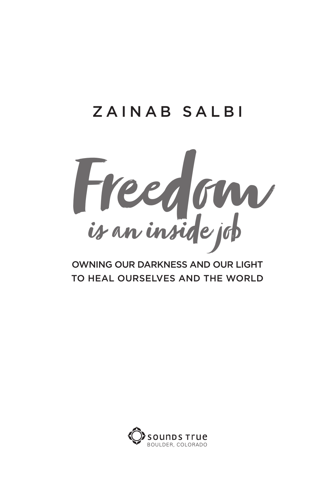## ZAINAB SALBI



OWNING OUR DARKNESS AND OUR LIGHT TO HEAL OURSELVES AND THE WORLD

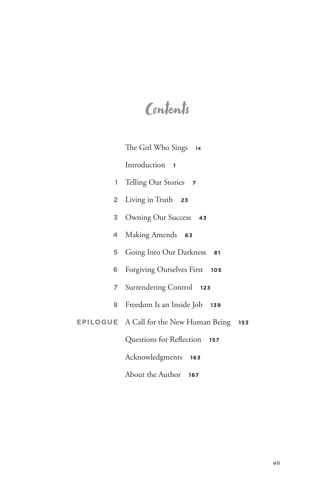## Contents

 The Girl Who Sings **ix** Introduction 1 **1**  Telling Our Stories **<sup>7</sup> 2**  Living in Truth **<sup>23</sup> 3**  Owning Our Success **<sup>43</sup> 4**  Making Amends **<sup>63</sup> 5**  Going Into Our Darkness **<sup>81</sup> 6**  Forgiving Ourselves First **<sup>105</sup> 7**  Surrendering Control **<sup>123</sup> 8**  Freedom Is an Inside Job **<sup>139</sup> EPILOGUE**  A Call for the New Human Being **<sup>153</sup>**  Questions for Reflection **<sup>157</sup>**  Acknowledgments **<sup>163</sup>**  About the Author **<sup>167</sup>**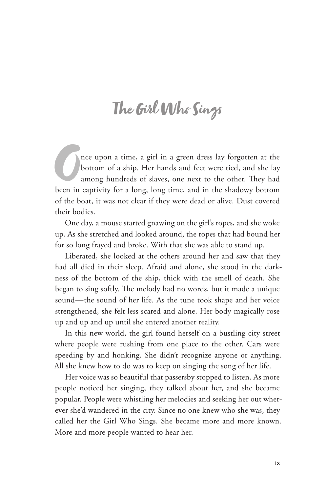## The Girl Who Sings

The upon a time, a girl in a green dress lay forgotten at the bottom of a ship. Her hands and feet were tied, and she lay among hundreds of slaves, one next to the other. They had been in captivity for a long, long time, a bottom of a ship. Her hands and feet were tied, and she lay among hundreds of slaves, one next to the other. They had of the boat, it was not clear if they were dead or alive. Dust covered their bodies.

One day, a mouse started gnawing on the girl's ropes, and she woke up. As she stretched and looked around, the ropes that had bound her for so long frayed and broke. With that she was able to stand up.

Liberated, she looked at the others around her and saw that they had all died in their sleep. Afraid and alone, she stood in the darkness of the bottom of the ship, thick with the smell of death. She began to sing softly. The melody had no words, but it made a unique sound—the sound of her life. As the tune took shape and her voice strengthened, she felt less scared and alone. Her body magically rose up and up and up until she entered another reality.

In this new world, the girl found herself on a bustling city street where people were rushing from one place to the other. Cars were speeding by and honking. She didn't recognize anyone or anything. All she knew how to do was to keep on singing the song of her life.

Her voice was so beautiful that passersby stopped to listen. As more people noticed her singing, they talked about her, and she became popular. People were whistling her melodies and seeking her out wherever she'd wandered in the city. Since no one knew who she was, they called her the Girl Who Sings. She became more and more known. More and more people wanted to hear her.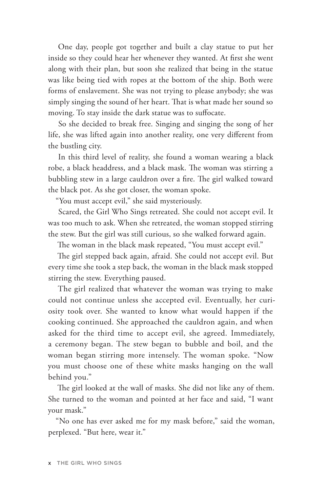One day, people got together and built a clay statue to put her inside so they could hear her whenever they wanted. At first she went along with their plan, but soon she realized that being in the statue was like being tied with ropes at the bottom of the ship. Both were forms of enslavement. She was not trying to please anybody; she was simply singing the sound of her heart. That is what made her sound so moving. To stay inside the dark statue was to suffocate.

So she decided to break free. Singing and singing the song of her life, she was lifted again into another reality, one very different from the bustling city.

In this third level of reality, she found a woman wearing a black robe, a black headdress, and a black mask. The woman was stirring a bubbling stew in a large cauldron over a fire. The girl walked toward the black pot. As she got closer, the woman spoke.

"You must accept evil," she said mysteriously.

Scared, the Girl Who Sings retreated. She could not accept evil. It was too much to ask. When she retreated, the woman stopped stirring the stew. But the girl was still curious, so she walked forward again.

The woman in the black mask repeated, "You must accept evil."

The girl stepped back again, afraid. She could not accept evil. But every time she took a step back, the woman in the black mask stopped stirring the stew. Everything paused.

The girl realized that whatever the woman was trying to make could not continue unless she accepted evil. Eventually, her curiosity took over. She wanted to know what would happen if the cooking continued. She approached the cauldron again, and when asked for the third time to accept evil, she agreed. Immediately, a ceremony began. The stew began to bubble and boil, and the woman began stirring more intensely. The woman spoke. "Now you must choose one of these white masks hanging on the wall behind you."

The girl looked at the wall of masks. She did not like any of them. She turned to the woman and pointed at her face and said, "I want your mask."

"No one has ever asked me for my mask before," said the woman, perplexed. "But here, wear it."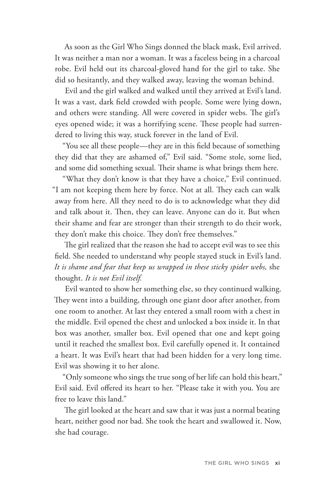As soon as the Girl Who Sings donned the black mask, Evil arrived. It was neither a man nor a woman. It was a faceless being in a charcoal robe. Evil held out its charcoal-gloved hand for the girl to take. She did so hesitantly, and they walked away, leaving the woman behind.

Evil and the girl walked and walked until they arrived at Evil's land. It was a vast, dark field crowded with people. Some were lying down, and others were standing. All were covered in spider webs. The girl's eyes opened wide; it was a horrifying scene. These people had surrendered to living this way, stuck forever in the land of Evil.

"You see all these people—they are in this field because of something they did that they are ashamed of," Evil said. "Some stole, some lied, and some did something sexual. Their shame is what brings them here.

"What they don't know is that they have a choice," Evil continued. "I am not keeping them here by force. Not at all. They each can walk away from here. All they need to do is to acknowledge what they did and talk about it. Then, they can leave. Anyone can do it. But when their shame and fear are stronger than their strength to do their work, they don't make this choice. They don't free themselves."

The girl realized that the reason she had to accept evil was to see this field. She needed to understand why people stayed stuck in Evil's land. *It is shame and fear that keep us wrapped in these sticky spider webs,* she thought. *It is not Evil itself.*

Evil wanted to show her something else, so they continued walking. They went into a building, through one giant door after another, from one room to another. At last they entered a small room with a chest in the middle. Evil opened the chest and unlocked a box inside it. In that box was another, smaller box. Evil opened that one and kept going until it reached the smallest box. Evil carefully opened it. It contained a heart. It was Evil's heart that had been hidden for a very long time. Evil was showing it to her alone.

"Only someone who sings the true song of her life can hold this heart," Evil said. Evil offered its heart to her. "Please take it with you. You are free to leave this land."

The girl looked at the heart and saw that it was just a normal beating heart, neither good nor bad. She took the heart and swallowed it. Now, she had courage.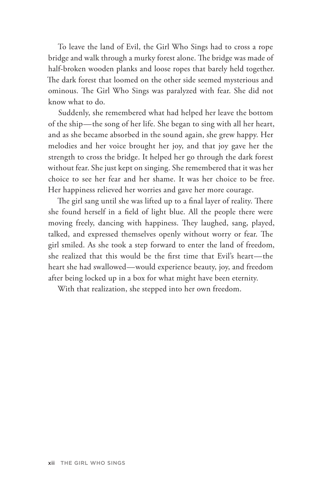To leave the land of Evil, the Girl Who Sings had to cross a rope bridge and walk through a murky forest alone. The bridge was made of half-broken wooden planks and loose ropes that barely held together. The dark forest that loomed on the other side seemed mysterious and ominous. The Girl Who Sings was paralyzed with fear. She did not know what to do.

Suddenly, she remembered what had helped her leave the bottom of the ship—the song of her life. She began to sing with all her heart, and as she became absorbed in the sound again, she grew happy. Her melodies and her voice brought her joy, and that joy gave her the strength to cross the bridge. It helped her go through the dark forest without fear. She just kept on singing. She remembered that it was her choice to see her fear and her shame. It was her choice to be free. Her happiness relieved her worries and gave her more courage.

The girl sang until she was lifted up to a final layer of reality. There she found herself in a field of light blue. All the people there were moving freely, dancing with happiness. They laughed, sang, played, talked, and expressed themselves openly without worry or fear. The girl smiled. As she took a step forward to enter the land of freedom, she realized that this would be the first time that Evil's heart—the heart she had swallowed—would experience beauty, joy, and freedom after being locked up in a box for what might have been eternity.

With that realization, she stepped into her own freedom.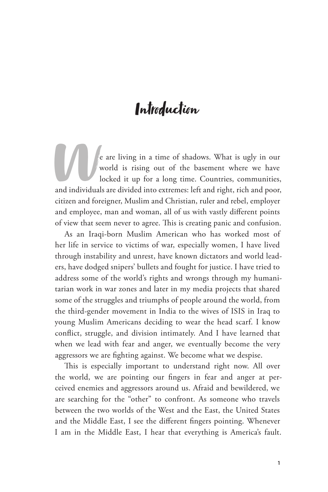## **Introduction**

e are living in a time of shadows. What is ugly in our world is rising out of the basement where we have locked it up for a long time. Countries, communities, and individuals are divided into extremes: left and right, rich world is rising out of the basement where we have locked it up for a long time. Countries, communities, and individuals are divided into extremes: left and right, rich and poor, citizen and foreigner, Muslim and Christian, ruler and rebel, employer and employee, man and woman, all of us with vastly different points of view that seem never to agree. This is creating panic and confusion.

As an Iraqi-born Muslim American who has worked most of her life in service to victims of war, especially women, I have lived through instability and unrest, have known dictators and world leaders, have dodged snipers' bullets and fought for justice. I have tried to address some of the world's rights and wrongs through my humanitarian work in war zones and later in my media projects that shared some of the struggles and triumphs of people around the world, from the third-gender movement in India to the wives of ISIS in Iraq to young Muslim Americans deciding to wear the head scarf. I know conflict, struggle, and division intimately. And I have learned that when we lead with fear and anger, we eventually become the very aggressors we are fighting against. We become what we despise.

This is especially important to understand right now. All over the world, we are pointing our fingers in fear and anger at perceived enemies and aggressors around us. Afraid and bewildered, we are searching for the "other" to confront. As someone who travels between the two worlds of the West and the East, the United States and the Middle East, I see the different fingers pointing. Whenever I am in the Middle East, I hear that everything is America's fault.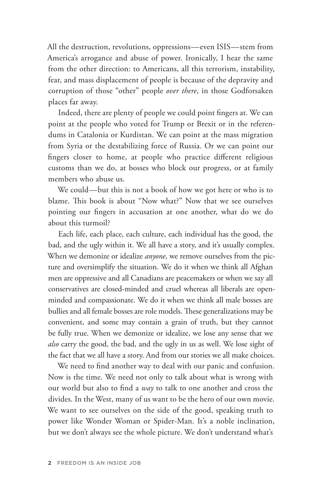All the destruction, revolutions, oppressions—even ISIS—stem from America's arrogance and abuse of power. Ironically, I hear the same from the other direction: to Americans, all this terrorism, instability, fear, and mass displacement of people is because of the depravity and corruption of those "other" people *over there*, in those Godforsaken places far away.

Indeed, there are plenty of people we could point fingers at. We can point at the people who voted for Trump or Brexit or in the referendums in Catalonia or Kurdistan. We can point at the mass migration from Syria or the destabilizing force of Russia. Or we can point our fingers closer to home, at people who practice different religious customs than we do, at bosses who block our progress, or at family members who abuse us.

We could—but this is not a book of how we got here or who is to blame. This book is about "Now what?" Now that we see ourselves pointing our fingers in accusation at one another, what do we do about this turmoil?

Each life, each place, each culture, each individual has the good, the bad, and the ugly within it. We all have a story, and it's usually complex. When we demonize or idealize *anyone*, we remove ourselves from the picture and oversimplify the situation. We do it when we think all Afghan men are oppressive and all Canadians are peacemakers or when we say all conservatives are closed-minded and cruel whereas all liberals are openminded and compassionate. We do it when we think all male bosses are bullies and all female bosses are role models. These generalizations may be convenient, and some may contain a grain of truth, but they cannot be fully true. When we demonize or idealize, we lose any sense that we *also* carry the good, the bad, and the ugly in us as well. We lose sight of the fact that we all have a story. And from our stories we all make choices.

We need to find another way to deal with our panic and confusion. Now is the time. We need not only to talk about what is wrong with our world but also to find a *way* to talk to one another and cross the divides. In the West, many of us want to be the hero of our own movie. We want to see ourselves on the side of the good, speaking truth to power like Wonder Woman or Spider-Man. It's a noble inclination, but we don't always see the whole picture. We don't understand what's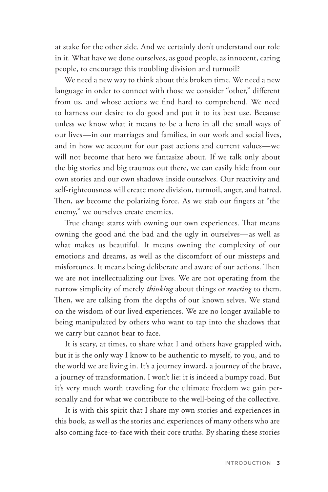at stake for the other side. And we certainly don't understand our role in it. What have we done ourselves, as good people, as innocent, caring people, to encourage this troubling division and turmoil?

We need a new way to think about this broken time. We need a new language in order to connect with those we consider "other," different from us, and whose actions we find hard to comprehend. We need to harness our desire to do good and put it to its best use. Because unless we know what it means to be a hero in all the small ways of our lives—in our marriages and families, in our work and social lives, and in how we account for our past actions and current values—we will not become that hero we fantasize about. If we talk only about the big stories and big traumas out there, we can easily hide from our own stories and our own shadows inside ourselves. Our reactivity and self-righteousness will create more division, turmoil, anger, and hatred. Then, *we* become the polarizing force. As we stab our fingers at "the enemy," we ourselves create enemies.

True change starts with owning our own experiences. That means owning the good and the bad and the ugly in ourselves—as well as what makes us beautiful. It means owning the complexity of our emotions and dreams, as well as the discomfort of our missteps and misfortunes. It means being deliberate and aware of our actions. Then we are not intellectualizing our lives. We are not operating from the narrow simplicity of merely *thinking* about things or *reacting* to them. Then, we are talking from the depths of our known selves. We stand on the wisdom of our lived experiences. We are no longer available to being manipulated by others who want to tap into the shadows that we carry but cannot bear to face.

It is scary, at times, to share what I and others have grappled with, but it is the only way I know to be authentic to myself, to you, and to the world we are living in. It's a journey inward, a journey of the brave, a journey of transformation. I won't lie: it is indeed a bumpy road. But it's very much worth traveling for the ultimate freedom we gain personally and for what we contribute to the well-being of the collective.

It is with this spirit that I share my own stories and experiences in this book, as well as the stories and experiences of many others who are also coming face-to-face with their core truths. By sharing these stories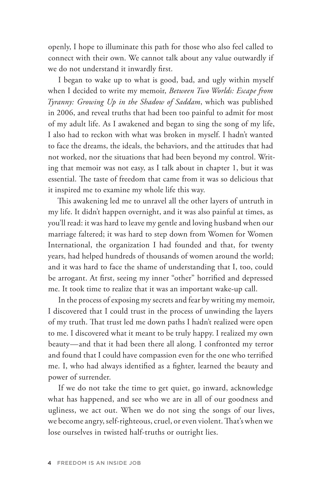openly, I hope to illuminate this path for those who also feel called to connect with their own. We cannot talk about any value outwardly if we do not understand it inwardly first.

I began to wake up to what is good, bad, and ugly within myself when I decided to write my memoir, *Between Two Worlds: Escape from Tyranny: Growing Up in the Shadow of Saddam*, which was published in 2006, and reveal truths that had been too painful to admit for most of my adult life. As I awakened and began to sing the song of my life, I also had to reckon with what was broken in myself. I hadn't wanted to face the dreams, the ideals, the behaviors, and the attitudes that had not worked, nor the situations that had been beyond my control. Writing that memoir was not easy, as I talk about in chapter 1, but it was essential. The taste of freedom that came from it was so delicious that it inspired me to examine my whole life this way.

This awakening led me to unravel all the other layers of untruth in my life. It didn't happen overnight, and it was also painful at times, as you'll read: it was hard to leave my gentle and loving husband when our marriage faltered; it was hard to step down from Women for Women International, the organization I had founded and that, for twenty years, had helped hundreds of thousands of women around the world; and it was hard to face the shame of understanding that I, too, could be arrogant. At first, seeing my inner "other" horrified and depressed me. It took time to realize that it was an important wake-up call.

In the process of exposing my secrets and fear by writing my memoir, I discovered that I could trust in the process of unwinding the layers of my truth. That trust led me down paths I hadn't realized were open to me. I discovered what it meant to be truly happy. I realized my own beauty—and that it had been there all along. I confronted my terror and found that I could have compassion even for the one who terrified me. I, who had always identified as a fighter, learned the beauty and power of surrender.

If we do not take the time to get quiet, go inward, acknowledge what has happened, and see who we are in all of our goodness and ugliness, we act out. When we do not sing the songs of our lives, we become angry, self-righteous, cruel, or even violent. That's when we lose ourselves in twisted half-truths or outright lies.